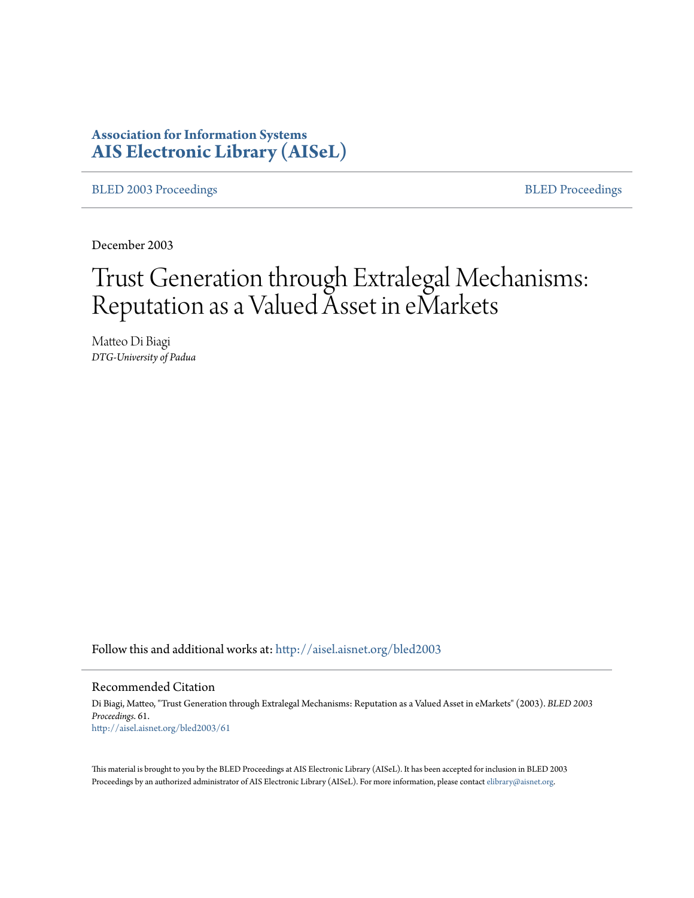# **Association for Information Systems [AIS Electronic Library \(AISeL\)](http://aisel.aisnet.org?utm_source=aisel.aisnet.org%2Fbled2003%2F61&utm_medium=PDF&utm_campaign=PDFCoverPages)**

[BLED 2003 Proceedings](http://aisel.aisnet.org/bled2003?utm_source=aisel.aisnet.org%2Fbled2003%2F61&utm_medium=PDF&utm_campaign=PDFCoverPages) **[BLED Proceedings](http://aisel.aisnet.org/bled?utm_source=aisel.aisnet.org%2Fbled2003%2F61&utm_medium=PDF&utm_campaign=PDFCoverPages)** 

December 2003

# Trust Generation through Extralegal Mechanisms: Reputation as a Valued Asset in eMarkets

Matteo Di Biagi *DTG-University of Padua*

Follow this and additional works at: [http://aisel.aisnet.org/bled2003](http://aisel.aisnet.org/bled2003?utm_source=aisel.aisnet.org%2Fbled2003%2F61&utm_medium=PDF&utm_campaign=PDFCoverPages)

#### Recommended Citation

Di Biagi, Matteo, "Trust Generation through Extralegal Mechanisms: Reputation as a Valued Asset in eMarkets" (2003). *BLED 2003 Proceedings*. 61. [http://aisel.aisnet.org/bled2003/61](http://aisel.aisnet.org/bled2003/61?utm_source=aisel.aisnet.org%2Fbled2003%2F61&utm_medium=PDF&utm_campaign=PDFCoverPages)

This material is brought to you by the BLED Proceedings at AIS Electronic Library (AISeL). It has been accepted for inclusion in BLED 2003 Proceedings by an authorized administrator of AIS Electronic Library (AISeL). For more information, please contact [elibrary@aisnet.org](mailto:elibrary@aisnet.org%3E).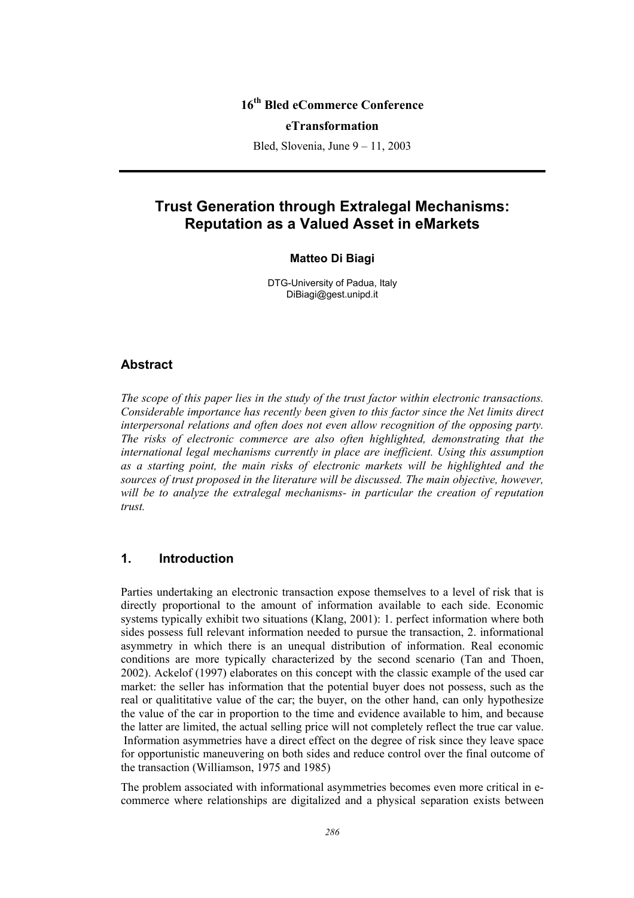# **16th Bled eCommerce Conference**

#### **eTransformation**

Bled, Slovenia, June 9 – 11, 2003

# **Trust Generation through Extralegal Mechanisms: Reputation as a Valued Asset in eMarkets**

#### **Matteo Di Biagi**

DTG-University of Padua, Italy DiBiagi@gest.unipd.it

#### **Abstract**

*The scope of this paper lies in the study of the trust factor within electronic transactions. Considerable importance has recently been given to this factor since the Net limits direct interpersonal relations and often does not even allow recognition of the opposing party. The risks of electronic commerce are also often highlighted, demonstrating that the international legal mechanisms currently in place are inefficient. Using this assumption as a starting point, the main risks of electronic markets will be highlighted and the sources of trust proposed in the literature will be discussed. The main objective, however, will be to analyze the extralegal mechanisms- in particular the creation of reputation trust.* 

### **1. Introduction**

Parties undertaking an electronic transaction expose themselves to a level of risk that is directly proportional to the amount of information available to each side. Economic systems typically exhibit two situations (Klang, 2001): 1. perfect information where both sides possess full relevant information needed to pursue the transaction, 2. informational asymmetry in which there is an unequal distribution of information. Real economic conditions are more typically characterized by the second scenario (Tan and Thoen, 2002). Ackelof (1997) elaborates on this concept with the classic example of the used car market: the seller has information that the potential buyer does not possess, such as the real or qualititative value of the car; the buyer, on the other hand, can only hypothesize the value of the car in proportion to the time and evidence available to him, and because the latter are limited, the actual selling price will not completely reflect the true car value. Information asymmetries have a direct effect on the degree of risk since they leave space for opportunistic maneuvering on both sides and reduce control over the final outcome of the transaction (Williamson, 1975 and 1985)

The problem associated with informational asymmetries becomes even more critical in ecommerce where relationships are digitalized and a physical separation exists between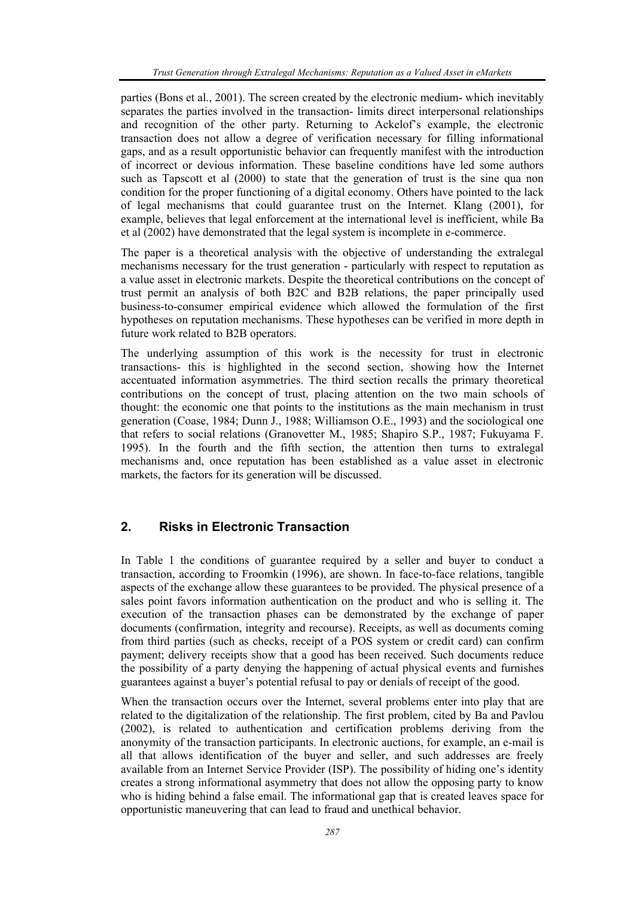parties (Bons et al., 2001). The screen created by the electronic medium- which inevitably separates the parties involved in the transaction- limits direct interpersonal relationships and recognition of the other party. Returning to Ackelof's example, the electronic transaction does not allow a degree of verification necessary for filling informational gaps, and as a result opportunistic behavior can frequently manifest with the introduction of incorrect or devious information. These baseline conditions have led some authors such as Tapscott et al (2000) to state that the generation of trust is the sine qua non condition for the proper functioning of a digital economy. Others have pointed to the lack of legal mechanisms that could guarantee trust on the Internet. Klang (2001), for example, believes that legal enforcement at the international level is inefficient, while Ba et al (2002) have demonstrated that the legal system is incomplete in e-commerce.

The paper is a theoretical analysis with the objective of understanding the extralegal mechanisms necessary for the trust generation - particularly with respect to reputation as a value asset in electronic markets. Despite the theoretical contributions on the concept of trust permit an analysis of both B2C and B2B relations, the paper principally used business-to-consumer empirical evidence which allowed the formulation of the first hypotheses on reputation mechanisms. These hypotheses can be verified in more depth in future work related to B2B operators.

The underlying assumption of this work is the necessity for trust in electronic transactions- this is highlighted in the second section, showing how the Internet accentuated information asymmetries. The third section recalls the primary theoretical contributions on the concept of trust, placing attention on the two main schools of thought: the economic one that points to the institutions as the main mechanism in trust generation (Coase, 1984; Dunn J., 1988; Williamson O.E., 1993) and the sociological one that refers to social relations (Granovetter M., 1985; Shapiro S.P., 1987; Fukuyama F. 1995). In the fourth and the fifth section, the attention then turns to extralegal mechanisms and, once reputation has been established as a value asset in electronic markets, the factors for its generation will be discussed.

## **2. Risks in Electronic Transaction**

In Table 1 the conditions of guarantee required by a seller and buyer to conduct a transaction, according to Froomkin (1996), are shown. In face-to-face relations, tangible aspects of the exchange allow these guarantees to be provided. The physical presence of a sales point favors information authentication on the product and who is selling it. The execution of the transaction phases can be demonstrated by the exchange of paper documents (confirmation, integrity and recourse). Receipts, as well as documents coming from third parties (such as checks, receipt of a POS system or credit card) can confirm payment; delivery receipts show that a good has been received. Such documents reduce the possibility of a party denying the happening of actual physical events and furnishes guarantees against a buyer's potential refusal to pay or denials of receipt of the good.

When the transaction occurs over the Internet, several problems enter into play that are related to the digitalization of the relationship. The first problem, cited by Ba and Pavlou (2002), is related to authentication and certification problems deriving from the anonymity of the transaction participants. In electronic auctions, for example, an e-mail is all that allows identification of the buyer and seller, and such addresses are freely available from an Internet Service Provider (ISP). The possibility of hiding one's identity creates a strong informational asymmetry that does not allow the opposing party to know who is hiding behind a false email. The informational gap that is created leaves space for opportunistic maneuvering that can lead to fraud and unethical behavior.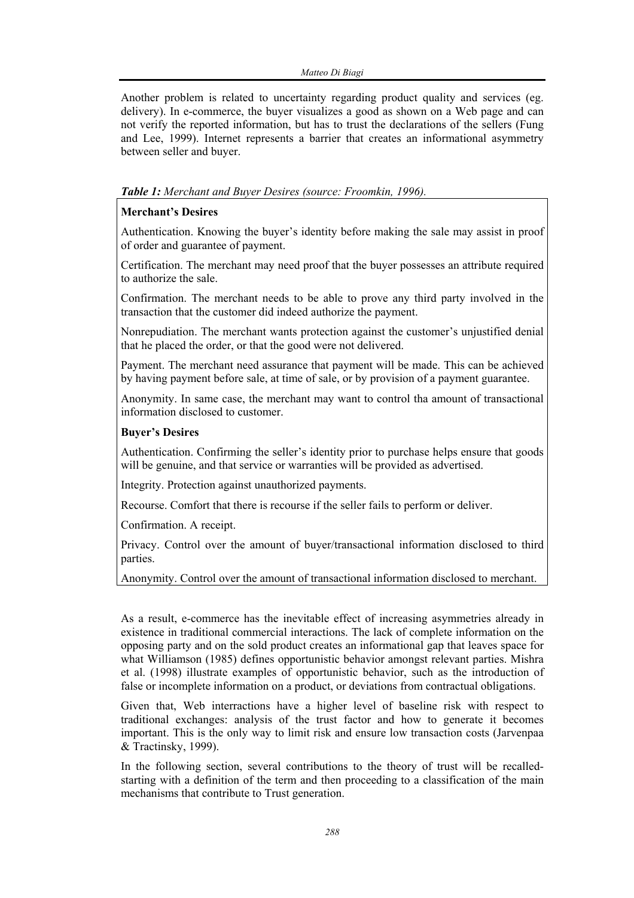Another problem is related to uncertainty regarding product quality and services (eg. delivery). In e-commerce, the buyer visualizes a good as shown on a Web page and can not verify the reported information, but has to trust the declarations of the sellers (Fung and Lee, 1999). Internet represents a barrier that creates an informational asymmetry between seller and buyer.

## *Table 1: Merchant and Buyer Desires (source: Froomkin, 1996).*

#### **Merchant's Desires**

Authentication. Knowing the buyer's identity before making the sale may assist in proof of order and guarantee of payment.

Certification. The merchant may need proof that the buyer possesses an attribute required to authorize the sale.

Confirmation. The merchant needs to be able to prove any third party involved in the transaction that the customer did indeed authorize the payment.

Nonrepudiation. The merchant wants protection against the customer's unjustified denial that he placed the order, or that the good were not delivered.

Payment. The merchant need assurance that payment will be made. This can be achieved by having payment before sale, at time of sale, or by provision of a payment guarantee.

Anonymity. In same case, the merchant may want to control tha amount of transactional information disclosed to customer.

#### **Buyer's Desires**

Authentication. Confirming the seller's identity prior to purchase helps ensure that goods will be genuine, and that service or warranties will be provided as advertised.

Integrity. Protection against unauthorized payments.

Recourse. Comfort that there is recourse if the seller fails to perform or deliver.

Confirmation. A receipt.

Privacy. Control over the amount of buyer/transactional information disclosed to third parties.

Anonymity. Control over the amount of transactional information disclosed to merchant.

As a result, e-commerce has the inevitable effect of increasing asymmetries already in existence in traditional commercial interactions. The lack of complete information on the opposing party and on the sold product creates an informational gap that leaves space for what Williamson (1985) defines opportunistic behavior amongst relevant parties. Mishra et al. (1998) illustrate examples of opportunistic behavior, such as the introduction of false or incomplete information on a product, or deviations from contractual obligations.

Given that, Web interractions have a higher level of baseline risk with respect to traditional exchanges: analysis of the trust factor and how to generate it becomes important. This is the only way to limit risk and ensure low transaction costs (Jarvenpaa & Tractinsky, 1999).

In the following section, several contributions to the theory of trust will be recalledstarting with a definition of the term and then proceeding to a classification of the main mechanisms that contribute to Trust generation.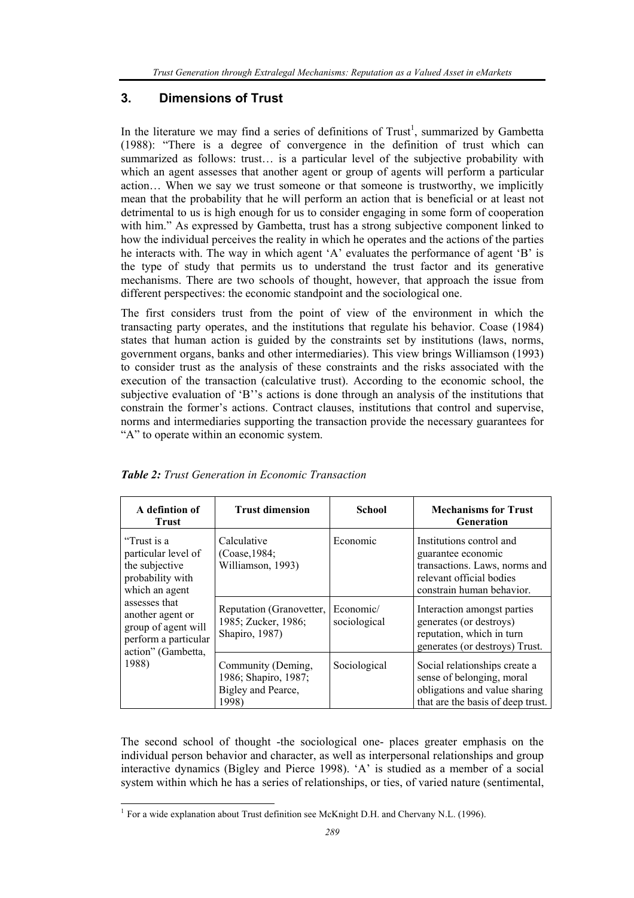# **3. Dimensions of Trust**

In the literature we may find a series of definitions of  $Trust<sup>1</sup>$ , summarized by Gambetta (1988): "There is a degree of convergence in the definition of trust which can summarized as follows: trust… is a particular level of the subjective probability with which an agent assesses that another agent or group of agents will perform a particular action… When we say we trust someone or that someone is trustworthy, we implicitly mean that the probability that he will perform an action that is beneficial or at least not detrimental to us is high enough for us to consider engaging in some form of cooperation with him." As expressed by Gambetta, trust has a strong subjective component linked to how the individual perceives the reality in which he operates and the actions of the parties he interacts with. The way in which agent 'A' evaluates the performance of agent 'B' is the type of study that permits us to understand the trust factor and its generative mechanisms. There are two schools of thought, however, that approach the issue from different perspectives: the economic standpoint and the sociological one.

The first considers trust from the point of view of the environment in which the transacting party operates, and the institutions that regulate his behavior. Coase (1984) states that human action is guided by the constraints set by institutions (laws, norms, government organs, banks and other intermediaries). This view brings Williamson (1993) to consider trust as the analysis of these constraints and the risks associated with the execution of the transaction (calculative trust). According to the economic school, the subjective evaluation of 'B''s actions is done through an analysis of the institutions that constrain the former's actions. Contract clauses, institutions that control and supervise, norms and intermediaries supporting the transaction provide the necessary guarantees for "A" to operate within an economic system.

| A defintion of<br><b>Trust</b>                                                                                                                                                                                | <b>Trust dimension</b>                                                    | School                    | <b>Mechanisms for Trust</b><br><b>Generation</b>                                                                                         |
|---------------------------------------------------------------------------------------------------------------------------------------------------------------------------------------------------------------|---------------------------------------------------------------------------|---------------------------|------------------------------------------------------------------------------------------------------------------------------------------|
| "Trust is a<br>particular level of<br>the subjective<br>probability with<br>which an agent<br>assesses that<br>another agent or<br>group of agent will<br>perform a particular<br>action" (Gambetta,<br>1988) | Calculative<br>(Coase, 1984)<br>Williamson, 1993)                         | Economic                  | Institutions control and<br>guarantee economic<br>transactions. Laws, norms and<br>relevant official bodies<br>constrain human behavior. |
|                                                                                                                                                                                                               | Reputation (Granovetter,<br>1985; Zucker, 1986;<br>Shapiro, 1987)         | Economic/<br>sociological | Interaction amongst parties<br>generates (or destroys)<br>reputation, which in turn<br>generates (or destroys) Trust.                    |
|                                                                                                                                                                                                               | Community (Deming,<br>1986; Shapiro, 1987;<br>Bigley and Pearce,<br>1998) | Sociological              | Social relationships create a<br>sense of belonging, moral<br>obligations and value sharing<br>that are the basis of deep trust.         |

| <b>Table 2:</b> Trust Generation in Economic Transaction |  |
|----------------------------------------------------------|--|
|                                                          |  |

The second school of thought -the sociological one- places greater emphasis on the individual person behavior and character, as well as interpersonal relationships and group interactive dynamics (Bigley and Pierce 1998). 'A' is studied as a member of a social system within which he has a series of relationships, or ties, of varied nature (sentimental,

l

<sup>&</sup>lt;sup>1</sup> For a wide explanation about Trust definition see McKnight D.H. and Chervany N.L. (1996).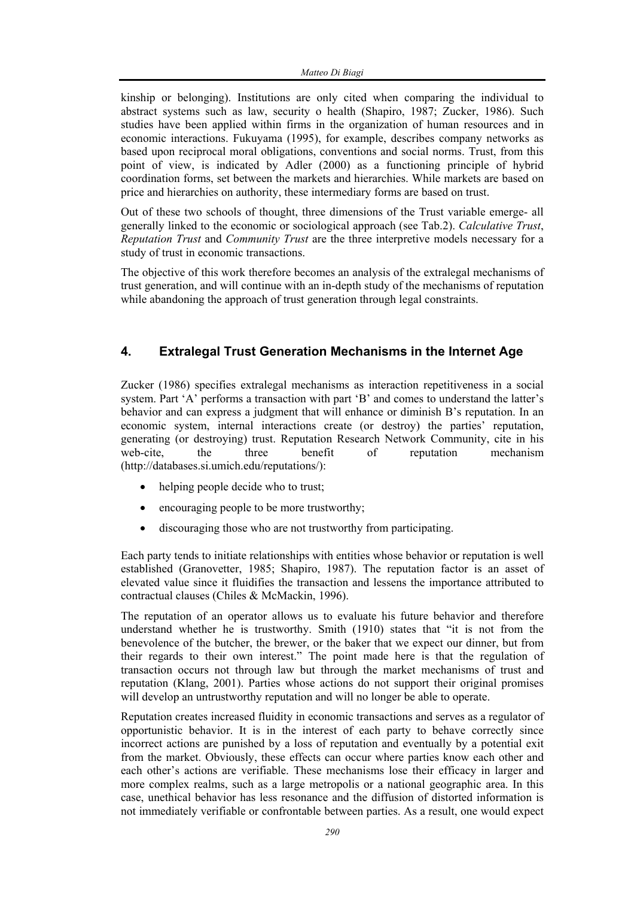kinship or belonging). Institutions are only cited when comparing the individual to abstract systems such as law, security o health (Shapiro, 1987; Zucker, 1986). Such studies have been applied within firms in the organization of human resources and in economic interactions. Fukuyama (1995), for example, describes company networks as based upon reciprocal moral obligations, conventions and social norms. Trust, from this point of view, is indicated by Adler (2000) as a functioning principle of hybrid coordination forms, set between the markets and hierarchies. While markets are based on price and hierarchies on authority, these intermediary forms are based on trust.

Out of these two schools of thought, three dimensions of the Trust variable emerge- all generally linked to the economic or sociological approach (see Tab.2). *Calculative Trust*, *Reputation Trust* and *Community Trust* are the three interpretive models necessary for a study of trust in economic transactions.

The objective of this work therefore becomes an analysis of the extralegal mechanisms of trust generation, and will continue with an in-depth study of the mechanisms of reputation while abandoning the approach of trust generation through legal constraints.

# **4. Extralegal Trust Generation Mechanisms in the Internet Age**

Zucker (1986) specifies extralegal mechanisms as interaction repetitiveness in a social system. Part 'A' performs a transaction with part 'B' and comes to understand the latter's behavior and can express a judgment that will enhance or diminish B's reputation. In an economic system, internal interactions create (or destroy) the parties' reputation, generating (or destroying) trust. Reputation Research Network Community, cite in his web-cite, the three benefit of reputation mechanism (http://databases.si.umich.edu/reputations/):

- helping people decide who to trust;
- encouraging people to be more trustworthy;
- discouraging those who are not trustworthy from participating.

Each party tends to initiate relationships with entities whose behavior or reputation is well established (Granovetter, 1985; Shapiro, 1987). The reputation factor is an asset of elevated value since it fluidifies the transaction and lessens the importance attributed to contractual clauses (Chiles & McMackin, 1996).

The reputation of an operator allows us to evaluate his future behavior and therefore understand whether he is trustworthy. Smith (1910) states that "it is not from the benevolence of the butcher, the brewer, or the baker that we expect our dinner, but from their regards to their own interest." The point made here is that the regulation of transaction occurs not through law but through the market mechanisms of trust and reputation (Klang, 2001). Parties whose actions do not support their original promises will develop an untrustworthy reputation and will no longer be able to operate.

Reputation creates increased fluidity in economic transactions and serves as a regulator of opportunistic behavior. It is in the interest of each party to behave correctly since incorrect actions are punished by a loss of reputation and eventually by a potential exit from the market. Obviously, these effects can occur where parties know each other and each other's actions are verifiable. These mechanisms lose their efficacy in larger and more complex realms, such as a large metropolis or a national geographic area. In this case, unethical behavior has less resonance and the diffusion of distorted information is not immediately verifiable or confrontable between parties. As a result, one would expect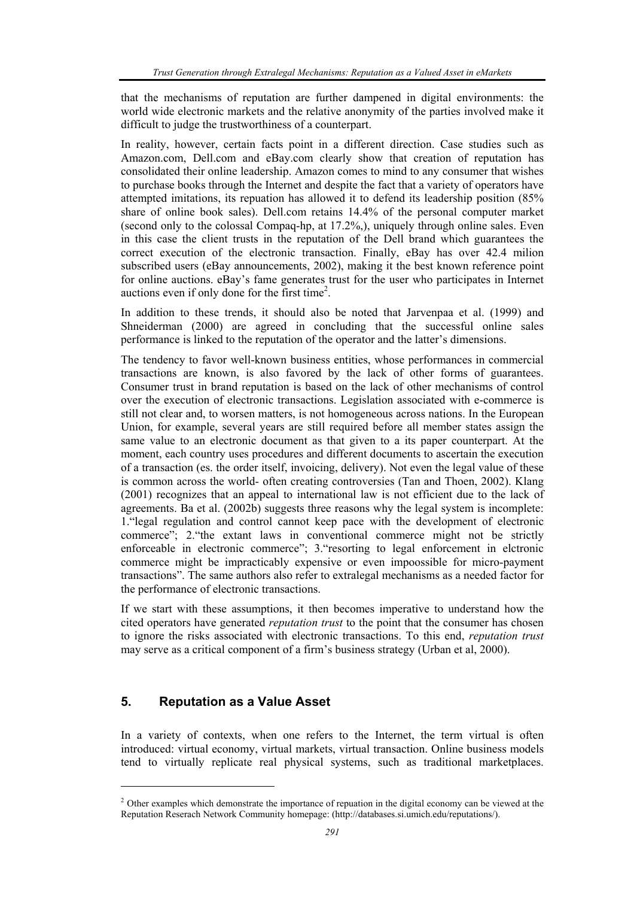that the mechanisms of reputation are further dampened in digital environments: the world wide electronic markets and the relative anonymity of the parties involved make it difficult to judge the trustworthiness of a counterpart.

In reality, however, certain facts point in a different direction. Case studies such as Amazon.com, Dell.com and eBay.com clearly show that creation of reputation has consolidated their online leadership. Amazon comes to mind to any consumer that wishes to purchase books through the Internet and despite the fact that a variety of operators have attempted imitations, its repuation has allowed it to defend its leadership position (85% share of online book sales). Dell.com retains 14.4% of the personal computer market (second only to the colossal Compaq-hp, at 17.2%,), uniquely through online sales. Even in this case the client trusts in the reputation of the Dell brand which guarantees the correct execution of the electronic transaction. Finally, eBay has over 42.4 milion subscribed users (eBay announcements, 2002), making it the best known reference point for online auctions. eBay's fame generates trust for the user who participates in Internet auctions even if only done for the first time<sup>2</sup>.

In addition to these trends, it should also be noted that Jarvenpaa et al. (1999) and Shneiderman (2000) are agreed in concluding that the successful online sales performance is linked to the reputation of the operator and the latter's dimensions.

The tendency to favor well-known business entities, whose performances in commercial transactions are known, is also favored by the lack of other forms of guarantees. Consumer trust in brand reputation is based on the lack of other mechanisms of control over the execution of electronic transactions. Legislation associated with e-commerce is still not clear and, to worsen matters, is not homogeneous across nations. In the European Union, for example, several years are still required before all member states assign the same value to an electronic document as that given to a its paper counterpart. At the moment, each country uses procedures and different documents to ascertain the execution of a transaction (es. the order itself, invoicing, delivery). Not even the legal value of these is common across the world- often creating controversies (Tan and Thoen, 2002). Klang (2001) recognizes that an appeal to international law is not efficient due to the lack of agreements. Ba et al. (2002b) suggests three reasons why the legal system is incomplete: 1."legal regulation and control cannot keep pace with the development of electronic commerce"; 2."the extant laws in conventional commerce might not be strictly enforceable in electronic commerce"; 3."resorting to legal enforcement in elctronic commerce might be impracticably expensive or even impoossible for micro-payment transactions". The same authors also refer to extralegal mechanisms as a needed factor for the performance of electronic transactions.

If we start with these assumptions, it then becomes imperative to understand how the cited operators have generated *reputation trust* to the point that the consumer has chosen to ignore the risks associated with electronic transactions. To this end, *reputation trust* may serve as a critical component of a firm's business strategy (Urban et al, 2000).

## **5. Reputation as a Value Asset**

l

In a variety of contexts, when one refers to the Internet, the term virtual is often introduced: virtual economy, virtual markets, virtual transaction. Online business models tend to virtually replicate real physical systems, such as traditional marketplaces.

<sup>&</sup>lt;sup>2</sup> Other examples which demonstrate the importance of repuation in the digital economy can be viewed at the Reputation Reserach Network Community homepage: (http://databases.si.umich.edu/reputations/).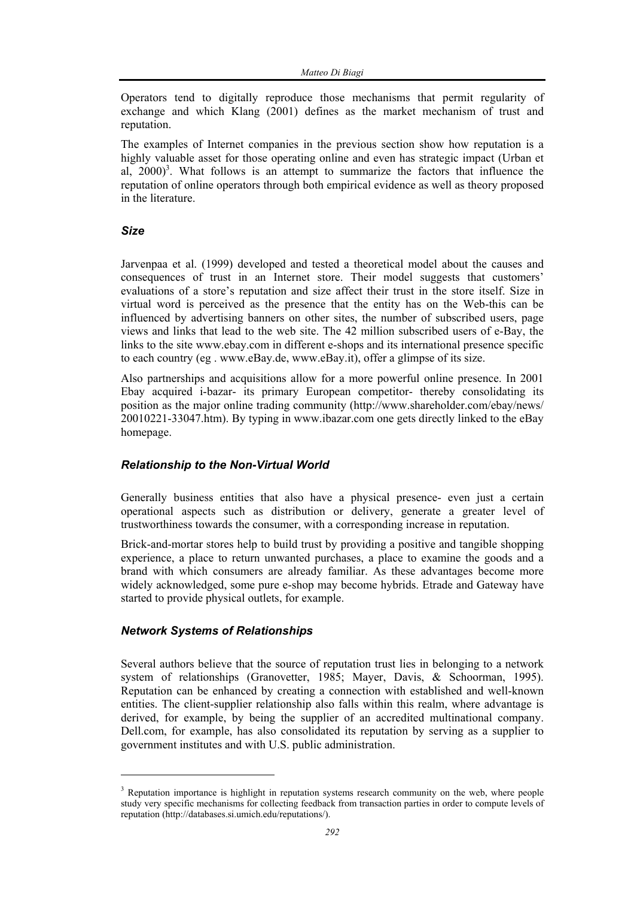Operators tend to digitally reproduce those mechanisms that permit regularity of exchange and which Klang (2001) defines as the market mechanism of trust and reputation.

The examples of Internet companies in the previous section show how reputation is a highly valuable asset for those operating online and even has strategic impact (Urban et al,  $2000$ <sup>3</sup>. What follows is an attempt to summarize the factors that influence the reputation of online operators through both empirical evidence as well as theory proposed in the literature.

#### *Size*

l

Jarvenpaa et al. (1999) developed and tested a theoretical model about the causes and consequences of trust in an Internet store. Their model suggests that customers' evaluations of a store's reputation and size affect their trust in the store itself. Size in virtual word is perceived as the presence that the entity has on the Web-this can be influenced by advertising banners on other sites, the number of subscribed users, page views and links that lead to the web site. The 42 million subscribed users of e-Bay, the links to the site www.ebay.com in different e-shops and its international presence specific to each country (eg . www.eBay.de, www.eBay.it), offer a glimpse of its size.

Also partnerships and acquisitions allow for a more powerful online presence. In 2001 Ebay acquired i-bazar- its primary European competitor- thereby consolidating its position as the major online trading community (http://www.shareholder.com/ebay/news/ 20010221-33047.htm). By typing in www.ibazar.com one gets directly linked to the eBay homepage.

#### *Relationship to the Non-Virtual World*

Generally business entities that also have a physical presence- even just a certain operational aspects such as distribution or delivery, generate a greater level of trustworthiness towards the consumer, with a corresponding increase in reputation.

Brick-and-mortar stores help to build trust by providing a positive and tangible shopping experience, a place to return unwanted purchases, a place to examine the goods and a brand with which consumers are already familiar. As these advantages become more widely acknowledged, some pure e-shop may become hybrids. Etrade and Gateway have started to provide physical outlets, for example.

#### *Network Systems of Relationships*

Several authors believe that the source of reputation trust lies in belonging to a network system of relationships (Granovetter, 1985; Mayer, Davis, & Schoorman, 1995). Reputation can be enhanced by creating a connection with established and well-known entities. The client-supplier relationship also falls within this realm, where advantage is derived, for example, by being the supplier of an accredited multinational company. Dell.com, for example, has also consolidated its reputation by serving as a supplier to government institutes and with U.S. public administration.

<sup>&</sup>lt;sup>3</sup> Reputation importance is highlight in reputation systems research community on the web, where people study very specific mechanisms for collecting feedback from transaction parties in order to compute levels of reputation (http://databases.si.umich.edu/reputations/).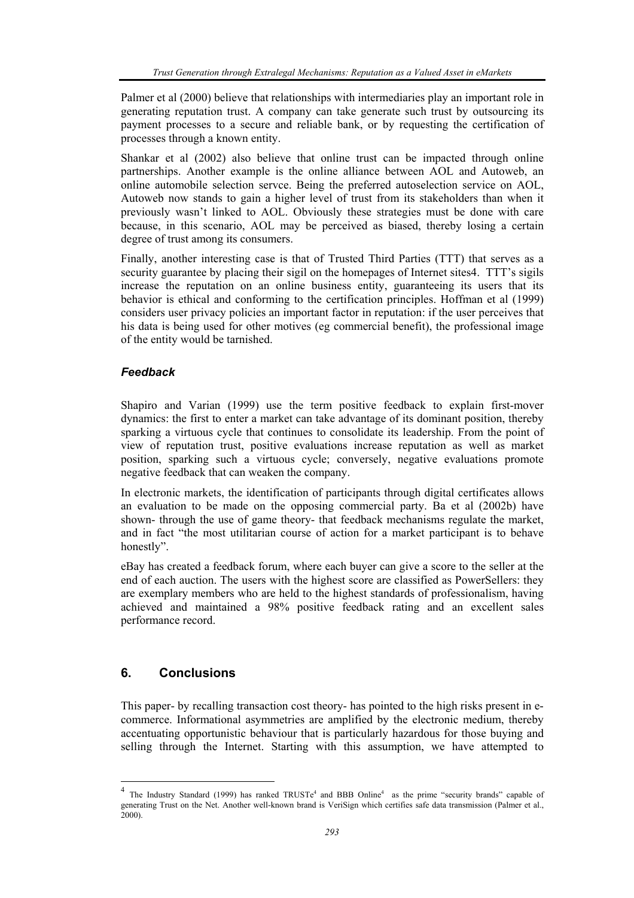Palmer et al (2000) believe that relationships with intermediaries play an important role in generating reputation trust. A company can take generate such trust by outsourcing its payment processes to a secure and reliable bank, or by requesting the certification of processes through a known entity.

Shankar et al (2002) also believe that online trust can be impacted through online partnerships. Another example is the online alliance between AOL and Autoweb, an online automobile selection servce. Being the preferred autoselection service on AOL, Autoweb now stands to gain a higher level of trust from its stakeholders than when it previously wasn't linked to AOL. Obviously these strategies must be done with care because, in this scenario, AOL may be perceived as biased, thereby losing a certain degree of trust among its consumers.

Finally, another interesting case is that of Trusted Third Parties (TTT) that serves as a security guarantee by placing their sigil on the homepages of Internet sites4. TTT's sigils increase the reputation on an online business entity, guaranteeing its users that its behavior is ethical and conforming to the certification principles. Hoffman et al (1999) considers user privacy policies an important factor in reputation: if the user perceives that his data is being used for other motives (eg commercial benefit), the professional image of the entity would be tarnished.

## *Feedback*

Shapiro and Varian (1999) use the term positive feedback to explain first-mover dynamics: the first to enter a market can take advantage of its dominant position, thereby sparking a virtuous cycle that continues to consolidate its leadership. From the point of view of reputation trust, positive evaluations increase reputation as well as market position, sparking such a virtuous cycle; conversely, negative evaluations promote negative feedback that can weaken the company.

In electronic markets, the identification of participants through digital certificates allows an evaluation to be made on the opposing commercial party. Ba et al (2002b) have shown- through the use of game theory- that feedback mechanisms regulate the market, and in fact "the most utilitarian course of action for a market participant is to behave honestly".

eBay has created a feedback forum, where each buyer can give a score to the seller at the end of each auction. The users with the highest score are classified as PowerSellers: they are exemplary members who are held to the highest standards of professionalism, having achieved and maintained a 98% positive feedback rating and an excellent sales performance record.

# **6. Conclusions**

l

This paper- by recalling transaction cost theory- has pointed to the high risks present in ecommerce. Informational asymmetries are amplified by the electronic medium, thereby accentuating opportunistic behaviour that is particularly hazardous for those buying and selling through the Internet. Starting with this assumption, we have attempted to

<sup>&</sup>lt;sup>4</sup> The Industry Standard (1999) has ranked TRUSTe<sup>4</sup> and BBB Online<sup>4</sup> as the prime "security brands" capable of generating Trust on the Net. Another well-known brand is VeriSign which certifies safe data transmission (Palmer et al., 2000).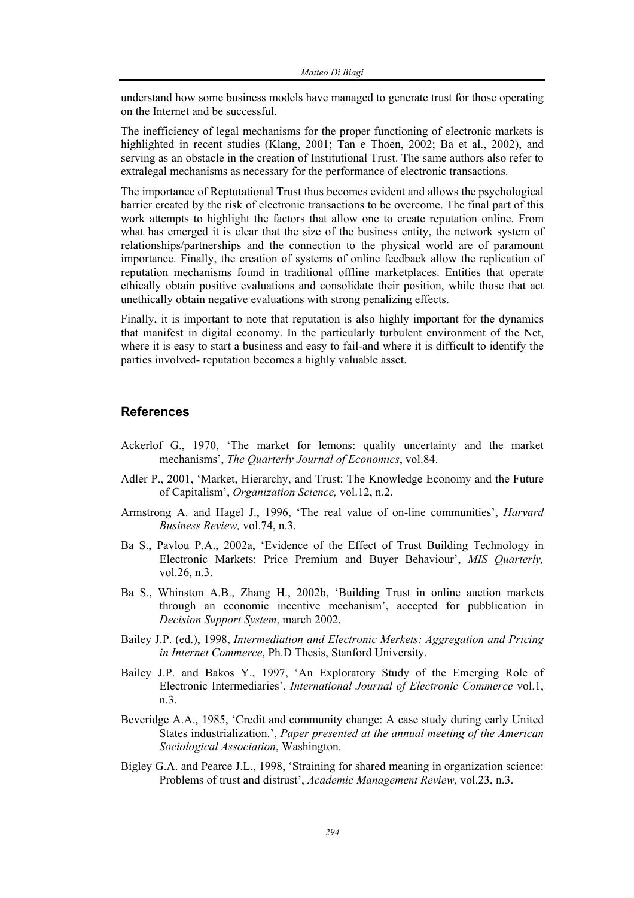understand how some business models have managed to generate trust for those operating on the Internet and be successful.

The inefficiency of legal mechanisms for the proper functioning of electronic markets is highlighted in recent studies (Klang, 2001; Tan e Thoen, 2002; Ba et al., 2002), and serving as an obstacle in the creation of Institutional Trust. The same authors also refer to extralegal mechanisms as necessary for the performance of electronic transactions.

The importance of Reptutational Trust thus becomes evident and allows the psychological barrier created by the risk of electronic transactions to be overcome. The final part of this work attempts to highlight the factors that allow one to create reputation online. From what has emerged it is clear that the size of the business entity, the network system of relationships/partnerships and the connection to the physical world are of paramount importance. Finally, the creation of systems of online feedback allow the replication of reputation mechanisms found in traditional offline marketplaces. Entities that operate ethically obtain positive evaluations and consolidate their position, while those that act unethically obtain negative evaluations with strong penalizing effects.

Finally, it is important to note that reputation is also highly important for the dynamics that manifest in digital economy. In the particularly turbulent environment of the Net, where it is easy to start a business and easy to fail-and where it is difficult to identify the parties involved- reputation becomes a highly valuable asset.

#### **References**

- Ackerlof G., 1970, 'The market for lemons: quality uncertainty and the market mechanisms', *The Quarterly Journal of Economics*, vol.84.
- Adler P., 2001, 'Market, Hierarchy, and Trust: The Knowledge Economy and the Future of Capitalism', *Organization Science,* vol.12, n.2.
- Armstrong A. and Hagel J., 1996, 'The real value of on-line communities', *Harvard Business Review,* vol.74, n.3.
- Ba S., Pavlou P.A., 2002a, 'Evidence of the Effect of Trust Building Technology in Electronic Markets: Price Premium and Buyer Behaviour', *MIS Quarterly,* vol.26, n.3.
- Ba S., Whinston A.B., Zhang H., 2002b, 'Building Trust in online auction markets through an economic incentive mechanism', accepted for pubblication in *Decision Support System*, march 2002.
- Bailey J.P. (ed.), 1998, *Intermediation and Electronic Merkets: Aggregation and Pricing in Internet Commerce*, Ph.D Thesis, Stanford University.
- Bailey J.P. and Bakos Y., 1997, 'An Exploratory Study of the Emerging Role of Electronic Intermediaries', *International Journal of Electronic Commerce* vol.1, n.3.
- Beveridge A.A., 1985, 'Credit and community change: A case study during early United States industrialization.', *Paper presented at the annual meeting of the American Sociological Association*, Washington.
- Bigley G.A. and Pearce J.L., 1998, 'Straining for shared meaning in organization science: Problems of trust and distrust', *Academic Management Review,* vol.23, n.3.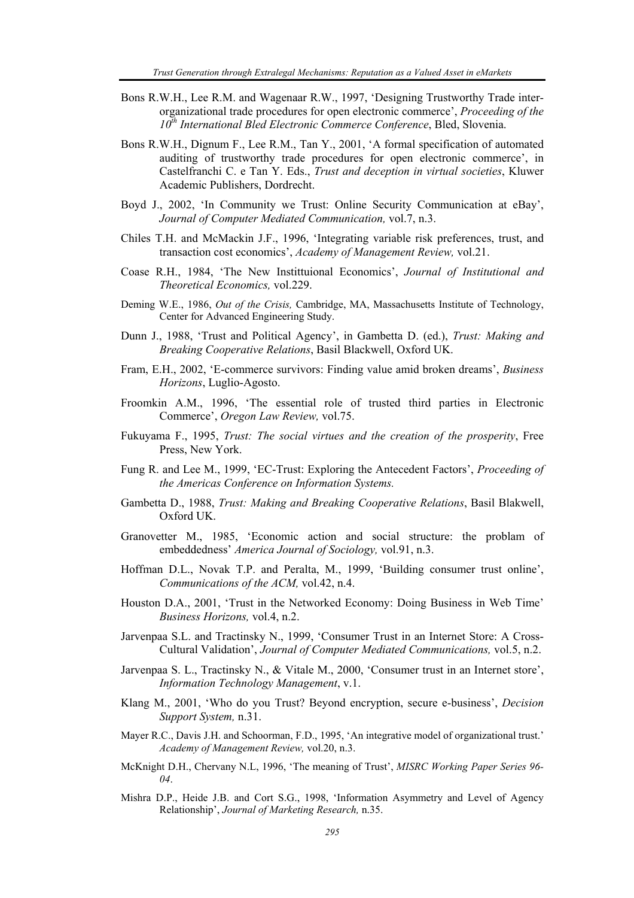- Bons R.W.H., Lee R.M. and Wagenaar R.W., 1997, 'Designing Trustworthy Trade interorganizational trade procedures for open electronic commerce', *Proceeding of the 10th International Bled Electronic Commerce Conference*, Bled, Slovenia.
- Bons R.W.H., Dignum F., Lee R.M., Tan Y., 2001, 'A formal specification of automated auditing of trustworthy trade procedures for open electronic commerce', in Castelfranchi C. e Tan Y. Eds., *Trust and deception in virtual societies*, Kluwer Academic Publishers, Dordrecht.
- Boyd J., 2002, 'In Community we Trust: Online Security Communication at eBay', *Journal of Computer Mediated Communication,* vol.7, n.3.
- Chiles T.H. and McMackin J.F., 1996, 'Integrating variable risk preferences, trust, and transaction cost economics', *Academy of Management Review,* vol.21.
- Coase R.H., 1984, 'The New Instittuional Economics', *Journal of Institutional and Theoretical Economics,* vol.229.
- Deming W.E., 1986, *Out of the Crisis,* Cambridge, MA, Massachusetts Institute of Technology, Center for Advanced Engineering Study.
- Dunn J., 1988, 'Trust and Political Agency', in Gambetta D. (ed.), *Trust: Making and Breaking Cooperative Relations*, Basil Blackwell, Oxford UK.
- Fram, E.H., 2002, 'E-commerce survivors: Finding value amid broken dreams', *Business Horizons*, Luglio-Agosto.
- Froomkin A.M., 1996, 'The essential role of trusted third parties in Electronic Commerce', *Oregon Law Review,* vol.75.
- Fukuyama F., 1995, *Trust: The social virtues and the creation of the prosperity*, Free Press, New York.
- Fung R. and Lee M., 1999, 'EC-Trust: Exploring the Antecedent Factors', *Proceeding of the Americas Conference on Information Systems.*
- Gambetta D., 1988, *Trust: Making and Breaking Cooperative Relations*, Basil Blakwell, Oxford UK.
- Granovetter M., 1985, 'Economic action and social structure: the problam of embeddedness' *America Journal of Sociology,* vol.91, n.3.
- Hoffman D.L., Novak T.P. and Peralta, M., 1999, 'Building consumer trust online', *Communications of the ACM,* vol.42, n.4.
- Houston D.A., 2001, 'Trust in the Networked Economy: Doing Business in Web Time' *Business Horizons,* vol.4, n.2.
- Jarvenpaa S.L. and Tractinsky N., 1999, 'Consumer Trust in an Internet Store: A Cross-Cultural Validation', *Journal of Computer Mediated Communications,* vol.5, n.2.
- Jarvenpaa S. L., Tractinsky N., & Vitale M., 2000, 'Consumer trust in an Internet store', *Information Technology Management*, v.1.
- Klang M., 2001, 'Who do you Trust? Beyond encryption, secure e-business', *Decision Support System,* n.31.
- Mayer R.C., Davis J.H. and Schoorman, F.D., 1995, 'An integrative model of organizational trust.' *Academy of Management Review,* vol.20, n.3.
- McKnight D.H., Chervany N.L, 1996, 'The meaning of Trust', *MISRC Working Paper Series 96- 04*.
- Mishra D.P., Heide J.B. and Cort S.G., 1998, 'Information Asymmetry and Level of Agency Relationship', *Journal of Marketing Research,* n.35.